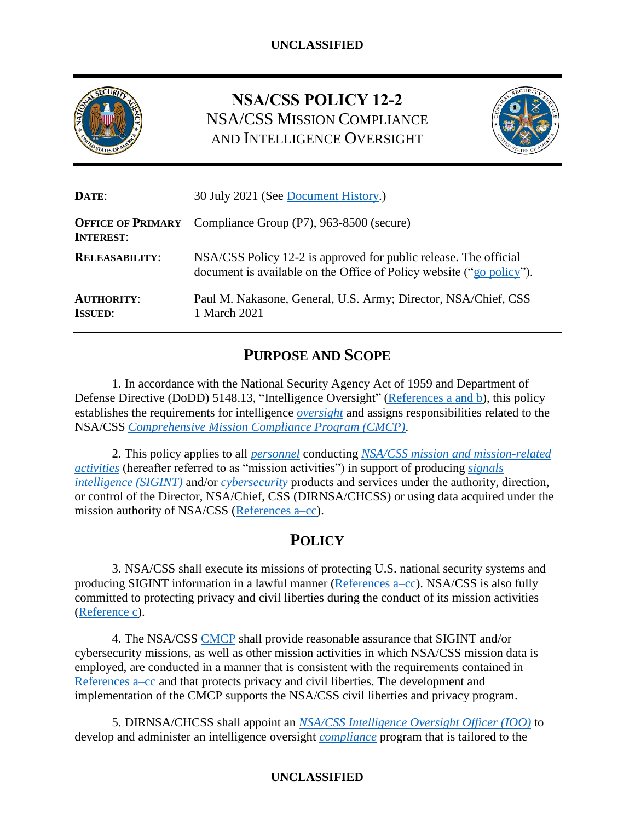

# **NSA/CSS POLICY 12-2** NSA/CSS MISSION COMPLIANCE AND INTELLIGENCE OVERSIGHT



| DATE:                                        | 30 July 2021 (See Document History.)                                                                                                     |  |
|----------------------------------------------|------------------------------------------------------------------------------------------------------------------------------------------|--|
| <b>OFFICE OF PRIMARY</b><br><b>INTEREST:</b> | Compliance Group (P7), 963-8500 (secure)                                                                                                 |  |
| <b>RELEASABILITY:</b>                        | NSA/CSS Policy 12-2 is approved for public release. The official<br>document is available on the Office of Policy website ("go policy"). |  |
| <b>AUTHORITY:</b><br><b>ISSUED:</b>          | Paul M. Nakasone, General, U.S. Army; Director, NSA/Chief, CSS<br>1 March 2021                                                           |  |

# **PURPOSE AND SCOPE**

1. In accordance with the National Security Agency Act of 1959 and Department of Defense Directive (DoDD) 5148.13, "Intelligence Oversight" [\(References a and b\)](#page-12-0), this policy establishes the requirements for intelligence *[oversight](#page-15-0)* and assigns responsibilities related to the NSA/CSS *[Comprehensive Mission Compliance Program \(CMCP\)](#page-13-0)*.

2. This policy applies to all *[personnel](#page-15-1)* conducting *[NSA/CSS mission and mission-related](#page-14-0)  [activities](#page-14-0)* (hereafter referred to as "mission activities") in support of producing *[signals](#page-15-2)  [intelligence \(SIGINT\)](#page-15-2)* and/or *[cybersecurity](#page-14-1)* products and services under the authority, direction, or control of the Director, NSA/Chief, CSS (DIRNSA/CHCSS) or using data acquired under the mission authority of NSA/CSS [\(References a–cc\)](#page-12-0).

# **POLICY**

3. NSA/CSS shall execute its missions of protecting U.S. national security systems and producing SIGINT information in a lawful manner [\(References a–cc\)](#page-12-0). NSA/CSS is also fully committed to protecting privacy and civil liberties during the conduct of its mission activities [\(Reference c\)](#page-12-1).

4. The NSA/CSS [CMCP](https://siteworks.web.nsa.ic.gov/files/1793/Communications/Guidance/PolicyDirectives_CP_CD/CD001_UFOUO_20210304.pdf) shall provide reasonable assurance that SIGINT and/or cybersecurity missions, as well as other mission activities in which NSA/CSS mission data is employed, are conducted in a manner that is consistent with the requirements contained in [References a–cc](#page-12-0) and that protects privacy and civil liberties. The development and implementation of the CMCP supports the NSA/CSS civil liberties and privacy program.

5. DIRNSA/CHCSS shall appoint an *[NSA/CSS Intelligence Oversight Officer \(IOO\)](#page-14-2)* to develop and administer an intelligence oversight *[compliance](#page-13-1)* program that is tailored to the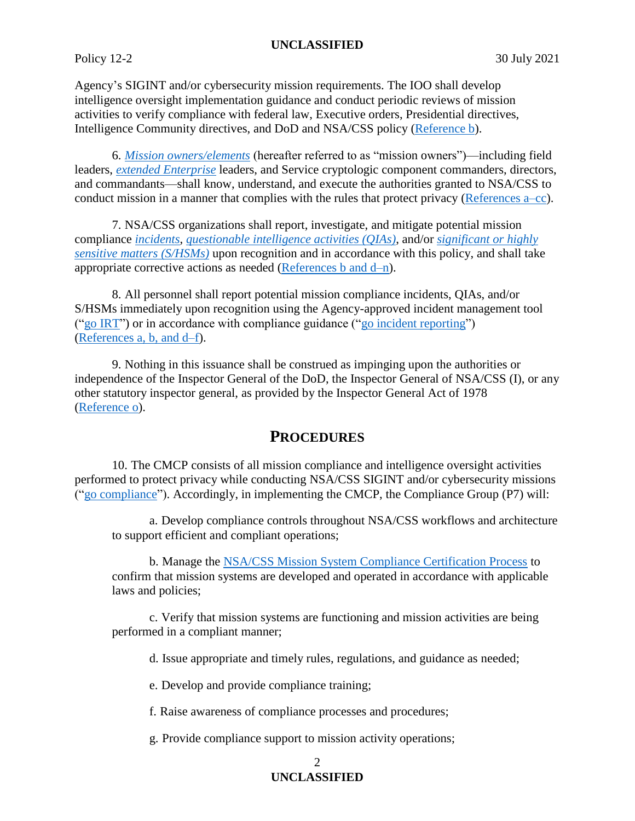Agency's SIGINT and/or cybersecurity mission requirements. The IOO shall develop intelligence oversight implementation guidance and conduct periodic reviews of mission activities to verify compliance with federal law, Executive orders, Presidential directives, Intelligence Community directives, and DoD and NSA/CSS policy [\(Reference b\)](#page-12-2).

6. *[Mission owners/elements](#page-14-3)* (hereafter referred to as "mission owners")—including field leaders, *[extended Enterprise](#page-14-4)* leaders, and Service cryptologic component commanders, directors, and commandants—shall know, understand, and execute the authorities granted to NSA/CSS to conduct mission in a manner that complies with the rules that protect privacy [\(References a–cc\)](#page-12-0).

7. NSA/CSS organizations shall report, investigate, and mitigate potential mission compliance *[incidents](#page-14-5)*, *[questionable intelligence activities \(QIAs\)](#page-15-3)*, and/or *[significant or highly](#page-15-4)  [sensitive matters \(S/HSMs\)](#page-15-4)* upon recognition and in accordance with this policy, and shall take appropriate corrective actions as needed [\(References b and d–n\)](#page-12-2).

8. All personnel shall report potential mission compliance incidents, QIAs, and/or S/HSMs immediately upon recognition using the Agency-approved incident management tool  $("go IRT")$  $("go IRT")$  $("go IRT")$  or in accordance with compliance guidance  $("go incident reporting")$  $("go incident reporting")$  $("go incident reporting")$ [\(References a,](#page-12-0) b, and d–f).

9. Nothing in this issuance shall be construed as impinging upon the authorities or independence of the Inspector General of the DoD, the Inspector General of NSA/CSS (I), or any other statutory inspector general, as provided by the Inspector General Act of 1978 (Reference o).

## **PROCEDURES**

10. The CMCP consists of all mission compliance and intelligence oversight activities performed to protect privacy while conducting NSA/CSS SIGINT and/or cybersecurity missions (["go compliance"](https://urn.nsa.ic.gov/compliance)). Accordingly, in implementing the CMCP, the Compliance Group (P7) will:

a. Develop compliance controls throughout NSA/CSS workflows and architecture to support efficient and compliant operations;

b. Manage the [NSA/CSS Mission System Compliance Certification Process](https://siteworks.web.nsa.ic.gov/compliance/certifications/) to confirm that mission systems are developed and operated in accordance with applicable laws and policies;

c. Verify that mission systems are functioning and mission activities are being performed in a compliant manner;

d. Issue appropriate and timely rules, regulations, and guidance as needed;

e. Develop and provide compliance training;

f. Raise awareness of compliance processes and procedures;

g. Provide compliance support to mission activity operations;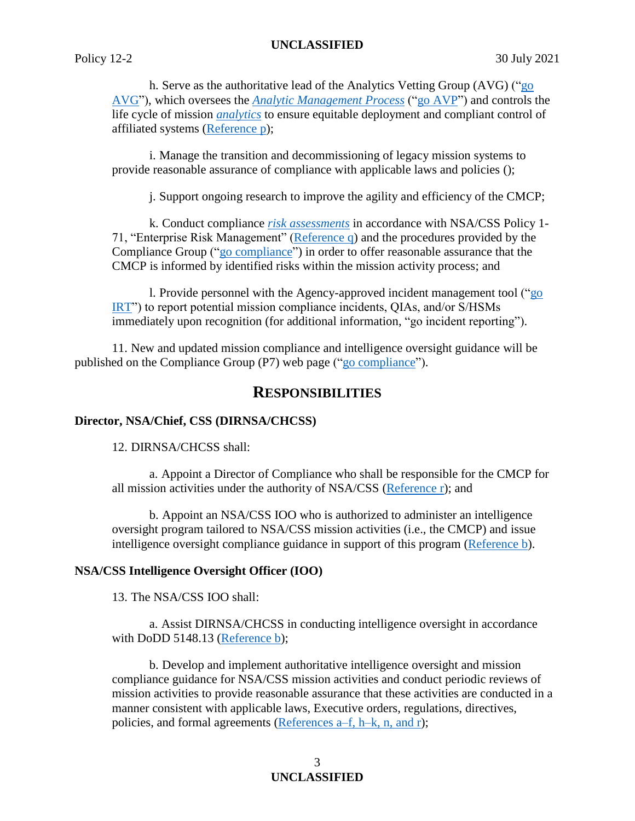h. Serve as the authoritative lead of the Analytics Vetting Group (AVG) (["go](https://urn.nsa.ic.gov/avg)  [AVG"](https://urn.nsa.ic.gov/avg)), which oversees the *[Analytic Management Process](#page-13-2)* (["go AVP"](https://urn.nsa.ic.gov/avp)) and controls the life cycle of mission *[analytics](#page-13-1)* to ensure equitable deployment and compliant control of affiliated systems [\(Reference p\)](#page-13-3);

i. Manage the transition and decommissioning of legacy mission systems to provide reasonable assurance of compliance with applicable laws and policies ();

j. Support ongoing research to improve the agility and efficiency of the CMCP;

k. Conduct compliance *[risk assessments](#page-15-5)* in accordance with NSA/CSS Policy 1- 71, "Enterprise Risk Management" [\(Reference q\)](#page-13-4) and the procedures provided by the Compliance Group (["go compliance"](https://urn.nsa.ic.gov/compliance)) in order to offer reasonable assurance that the CMCP is informed by identified risks within the mission activity process; and

l. Provide personnel with the Agency-approved incident management tool (["go](https://urn.nsa.ic.gov/IRT)  [IRT"](https://urn.nsa.ic.gov/IRT)) to report potential mission compliance incidents, QIAs, and/or S/HSMs immediately upon recognition (for additional information, "go incident reporting").

11. New and updated mission compliance and intelligence oversight guidance will be published on the Compliance Group (P7) web page (["go compliance"](https://urn.nsa.ic.gov/compliance)).

## **RESPONSIBILITIES**

#### **Director, NSA/Chief, CSS (DIRNSA/CHCSS)**

12. DIRNSA/CHCSS shall:

a. Appoint a Director of Compliance who shall be responsible for the CMCP for all mission activities under the authority of NSA/CSS (Reference r); and

b. Appoint an NSA/CSS IOO who is authorized to administer an intelligence oversight program tailored to NSA/CSS mission activities (i.e., the CMCP) and issue intelligence oversight compliance guidance in support of this program [\(Reference b\)](#page-12-2).

#### **NSA/CSS Intelligence Oversight Officer (IOO)**

13. The NSA/CSS IOO shall:

a. Assist DIRNSA/CHCSS in conducting intelligence oversight in accordance with DoDD 5148.13 [\(Reference b\)](#page-12-2);

b. Develop and implement authoritative intelligence oversight and mission compliance guidance for NSA/CSS mission activities and conduct periodic reviews of mission activities to provide reasonable assurance that these activities are conducted in a manner consistent with applicable laws, Executive orders, regulations, directives, policies, and formal agreements [\(References a–f, h–k, n,](#page-12-0) and r);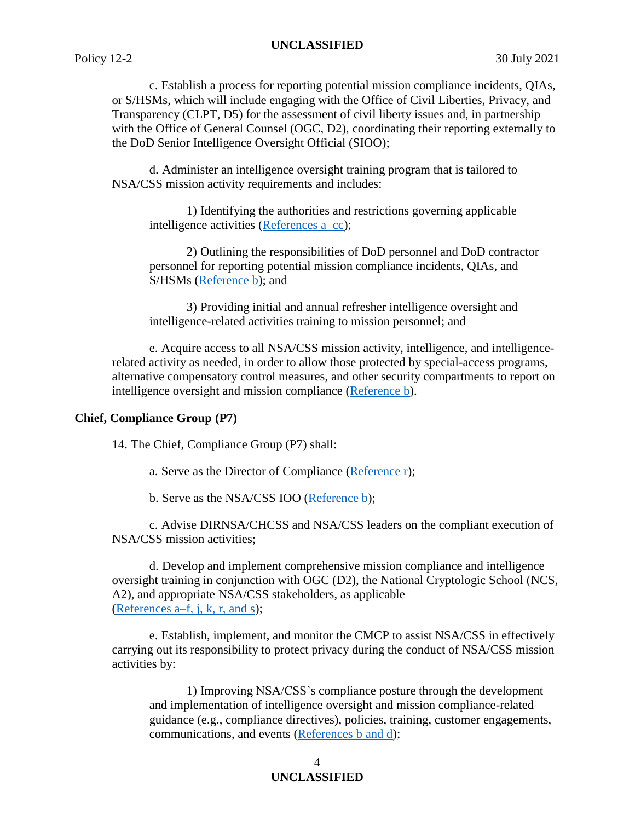c. Establish a process for reporting potential mission compliance incidents, QIAs, or S/HSMs, which will include engaging with the Office of Civil Liberties, Privacy, and Transparency (CLPT, D5) for the assessment of civil liberty issues and, in partnership with the Office of General Counsel (OGC, D2), coordinating their reporting externally to the DoD Senior Intelligence Oversight Official (SIOO);

d. Administer an intelligence oversight training program that is tailored to NSA/CSS mission activity requirements and includes:

1) Identifying the authorities and restrictions governing applicable intelligence activities [\(References a–cc\)](#page-12-0);

2) Outlining the responsibilities of DoD personnel and DoD contractor personnel for reporting potential mission compliance incidents, QIAs, and S/HSMs [\(Reference b\)](#page-12-2); and

3) Providing initial and annual refresher intelligence oversight and intelligence-related activities training to mission personnel; and

e. Acquire access to all NSA/CSS mission activity, intelligence, and intelligencerelated activity as needed, in order to allow those protected by special-access programs, alternative compensatory control measures, and other security compartments to report on intelligence oversight and mission compliance [\(Reference b\)](#page-12-2).

### **Chief, Compliance Group (P7)**

14. The Chief, Compliance Group (P7) shall:

a. Serve as the Director of Compliance [\(Reference r\)](#page-12-3);

b. Serve as the NSA/CSS IOO [\(Reference b\)](#page-12-2);

c. Advise DIRNSA/CHCSS and NSA/CSS leaders on the compliant execution of NSA/CSS mission activities;

d. Develop and implement comprehensive mission compliance and intelligence oversight training in conjunction with OGC (D2), the National Cryptologic School (NCS, A2), and appropriate NSA/CSS stakeholders, as applicable [\(References a–f, j, k, r, and s\)](#page-12-0);

e. Establish, implement, and monitor the CMCP to assist NSA/CSS in effectively carrying out its responsibility to protect privacy during the conduct of NSA/CSS mission activities by:

1) Improving NSA/CSS's compliance posture through the development and implementation of intelligence oversight and mission compliance-related guidance (e.g., compliance directives), policies, training, customer engagements, communications, and events [\(References b and d\)](#page-12-2);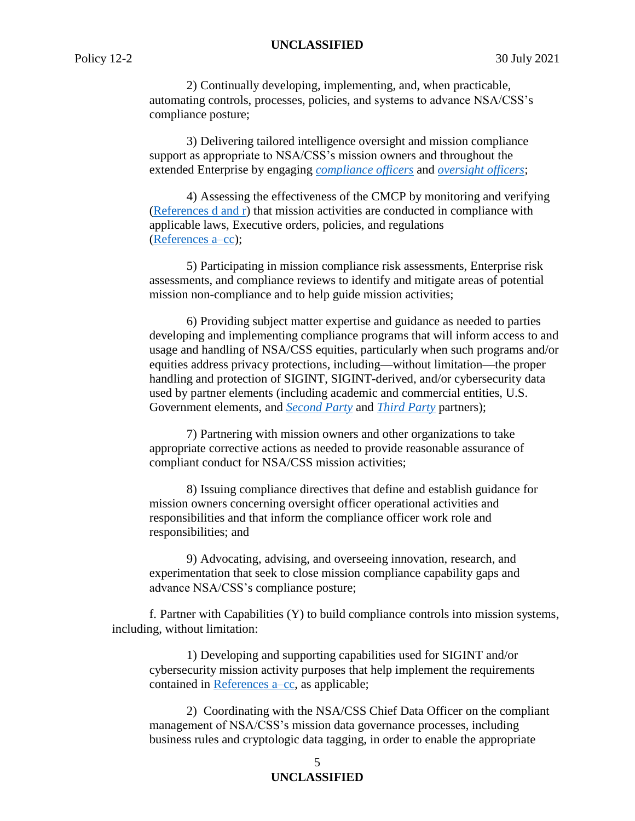2) Continually developing, implementing, and, when practicable, automating controls, processes, policies, and systems to advance NSA/CSS's compliance posture;

3) Delivering tailored intelligence oversight and mission compliance support as appropriate to NSA/CSS's mission owners and throughout the extended Enterprise by engaging *[compliance officers](#page-13-5)* and *[oversight officers](#page-15-6)*;

4) Assessing the effectiveness of the CMCP by monitoring and verifying [\(References](#page-12-4) d and r) that mission activities are conducted in compliance with applicable laws, Executive orders, policies, and regulations [\(References a–cc\)](#page-12-0);

5) Participating in mission compliance risk assessments, Enterprise risk assessments, and compliance reviews to identify and mitigate areas of potential mission non-compliance and to help guide mission activities;

6) Providing subject matter expertise and guidance as needed to parties developing and implementing compliance programs that will inform access to and usage and handling of NSA/CSS equities, particularly when such programs and/or equities address privacy protections, including—without limitation—the proper handling and protection of SIGINT, SIGINT-derived, and/or cybersecurity data used by partner elements (including academic and commercial entities, U.S. Government elements, and *[Second Party](#page-15-7)* and *[Third](#page-16-1) Party* partners);

7) Partnering with mission owners and other organizations to take appropriate corrective actions as needed to provide reasonable assurance of compliant conduct for NSA/CSS mission activities;

8) Issuing compliance directives that define and establish guidance for mission owners concerning oversight officer operational activities and responsibilities and that inform the compliance officer work role and responsibilities; and

9) Advocating, advising, and overseeing innovation, research, and experimentation that seek to close mission compliance capability gaps and advance NSA/CSS's compliance posture;

f. Partner with Capabilities (Y) to build compliance controls into mission systems, including, without limitation:

1) Developing and supporting capabilities used for SIGINT and/or cybersecurity mission activity purposes that help implement the requirements contained in [References a–cc,](#page-12-0) as applicable;

2) Coordinating with the NSA/CSS Chief Data Officer on the compliant management of NSA/CSS's mission data governance processes, including business rules and cryptologic data tagging, in order to enable the appropriate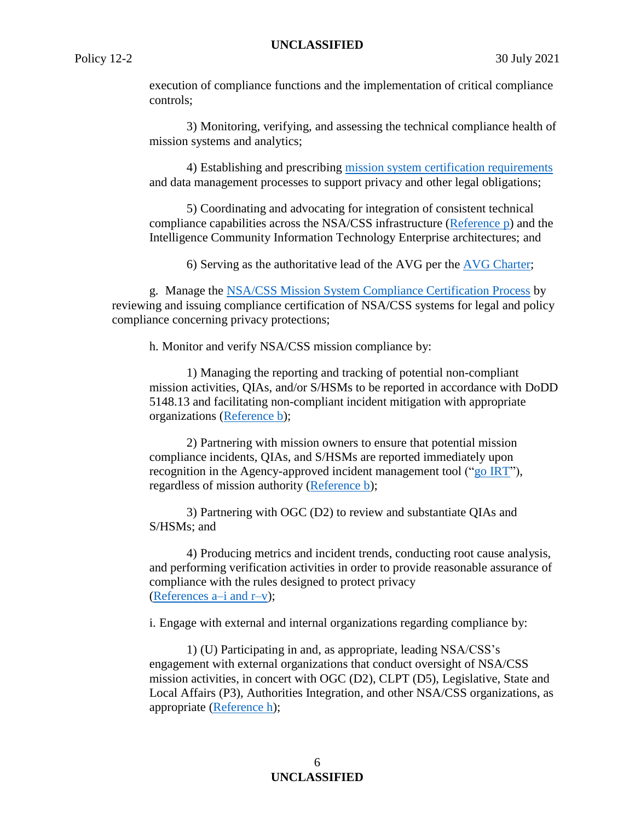execution of compliance functions and the implementation of critical compliance controls;

3) Monitoring, verifying, and assessing the technical compliance health of mission systems and analytics;

4) Establishing and prescribing [mission system certification requirements](https://d4.sp.web.nsa.ic.gov/Pages/Current_Mission_System_Compliance_Certification_Requirements_Package.aspx) and data management processes to support privacy and other legal obligations;

5) Coordinating and advocating for integration of consistent technical compliance capabilities across the NSA/CSS infrastructure [\(Reference p\)](#page-12-5) and the Intelligence Community Information Technology Enterprise architectures; and

6) Serving as the authoritative lead of the AVG per the AVG [Charter;](https://wiki.nsa.ic.gov/img_auth.php/c/c5/AVG_Charter_v2.0_FINAL_SIGNED_20180305_CAO_with_Signatures.pdf)

g. Manage the [NSA/CSS Mission System Compliance Certification Process](https://siteworks.web.nsa.ic.gov/compliance/certifications/) by reviewing and issuing compliance certification of NSA/CSS systems for legal and policy compliance concerning privacy protections;

h. Monitor and verify NSA/CSS mission compliance by:

1) Managing the reporting and tracking of potential non-compliant mission activities, QIAs, and/or S/HSMs to be reported in accordance with DoDD 5148.13 and facilitating non-compliant incident mitigation with appropriate organizations [\(Reference b\)](#page-12-2);

2) Partnering with mission owners to ensure that potential mission compliance incidents, QIAs, and S/HSMs are reported immediately upon recognition in the Agency-approved incident management tool (["go IRT"](https://urn.nsa.ic.gov/RT)), regardless of mission authority [\(Reference b\)](#page-12-2);

3) Partnering with OGC (D2) to review and substantiate QIAs and S/HSMs; and

4) Producing metrics and incident trends, conducting root cause analysis, and performing verification activities in order to provide reasonable assurance of compliance with the rules designed to protect privacy [\(References a–i and r–v\)](#page-12-0);

i. Engage with external and internal organizations regarding compliance by:

1) (U) Participating in and, as appropriate, leading NSA/CSS's engagement with external organizations that conduct oversight of NSA/CSS mission activities, in concert with OGC (D2), CLPT (D5), Legislative, State and Local Affairs (P3), Authorities Integration, and other NSA/CSS organizations, as appropriate [\(Reference h\)](#page-12-6);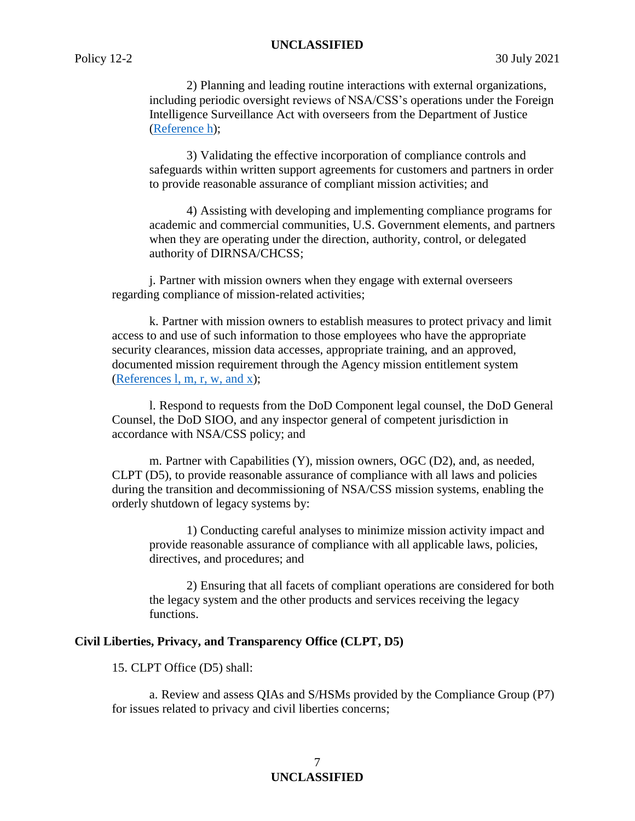2) Planning and leading routine interactions with external organizations, including periodic oversight reviews of NSA/CSS's operations under the Foreign Intelligence Surveillance Act with overseers from the Department of Justice [\(Reference h\)](#page-12-6);

3) Validating the effective incorporation of compliance controls and safeguards within written support agreements for customers and partners in order to provide reasonable assurance of compliant mission activities; and

4) Assisting with developing and implementing compliance programs for academic and commercial communities, U.S. Government elements, and partners when they are operating under the direction, authority, control, or delegated authority of DIRNSA/CHCSS;

j. Partner with mission owners when they engage with external overseers regarding compliance of mission-related activities;

k. Partner with mission owners to establish measures to protect privacy and limit access to and use of such information to those employees who have the appropriate security clearances, mission data accesses, appropriate training, and an approved, documented mission requirement through the Agency mission entitlement system [\(References l, m, r, w, and x\)](#page-12-3);

l. Respond to requests from the DoD Component legal counsel, the DoD General Counsel, the DoD SIOO, and any inspector general of competent jurisdiction in accordance with NSA/CSS policy; and

m. Partner with Capabilities (Y), mission owners, OGC (D2), and, as needed, CLPT (D5), to provide reasonable assurance of compliance with all laws and policies during the transition and decommissioning of NSA/CSS mission systems, enabling the orderly shutdown of legacy systems by:

1) Conducting careful analyses to minimize mission activity impact and provide reasonable assurance of compliance with all applicable laws, policies, directives, and procedures; and

2) Ensuring that all facets of compliant operations are considered for both the legacy system and the other products and services receiving the legacy functions.

## **Civil Liberties, Privacy, and Transparency Office (CLPT, D5)**

15. CLPT Office (D5) shall:

a. Review and assess QIAs and S/HSMs provided by the Compliance Group (P7) for issues related to privacy and civil liberties concerns;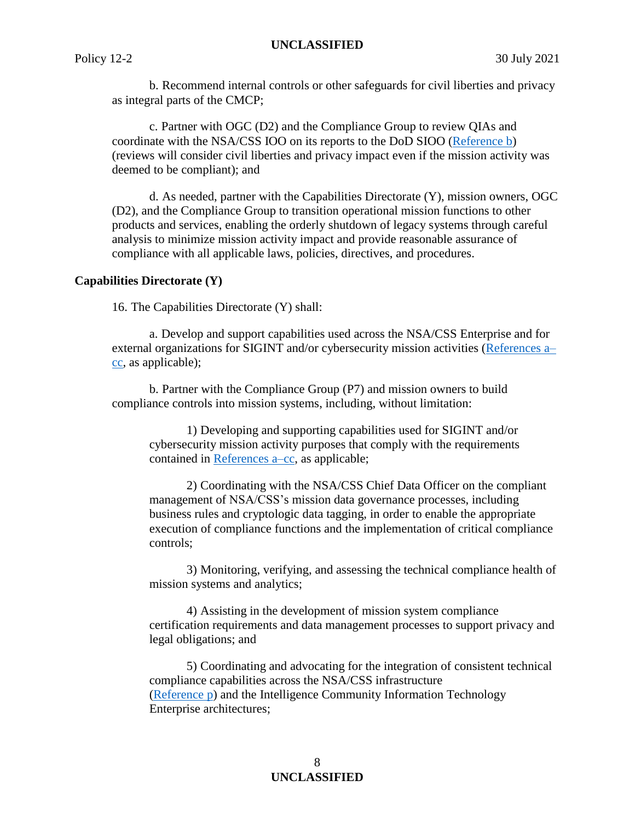b. Recommend internal controls or other safeguards for civil liberties and privacy as integral parts of the CMCP;

c. Partner with OGC (D2) and the Compliance Group to review QIAs and coordinate with the NSA/CSS IOO on its reports to the DoD SIOO [\(Reference b\)](#page-12-2) (reviews will consider civil liberties and privacy impact even if the mission activity was deemed to be compliant); and

d. As needed, partner with the Capabilities Directorate (Y), mission owners, OGC (D2), and the Compliance Group to transition operational mission functions to other products and services, enabling the orderly shutdown of legacy systems through careful analysis to minimize mission activity impact and provide reasonable assurance of compliance with all applicable laws, policies, directives, and procedures.

## **Capabilities Directorate (Y)**

16. The Capabilities Directorate (Y) shall:

a. Develop and support capabilities used across the NSA/CSS Enterprise and for external organizations for SIGINT and/or cybersecurity mission activities [\(References a–](#page-12-0) [cc,](#page-12-0) as applicable);

b. Partner with the Compliance Group (P7) and mission owners to build compliance controls into mission systems, including, without limitation:

1) Developing and supporting capabilities used for SIGINT and/or cybersecurity mission activity purposes that comply with the requirements contained in [References a–cc,](#page-12-0) as applicable;

2) Coordinating with the NSA/CSS Chief Data Officer on the compliant management of NSA/CSS's mission data governance processes, including business rules and cryptologic data tagging, in order to enable the appropriate execution of compliance functions and the implementation of critical compliance controls;

3) Monitoring, verifying, and assessing the technical compliance health of mission systems and analytics;

4) Assisting in the development of mission system compliance certification requirements and data management processes to support privacy and legal obligations; and

5) Coordinating and advocating for the integration of consistent technical compliance capabilities across the NSA/CSS infrastructure [\(Reference p\)](#page-12-5) and the Intelligence Community Information Technology Enterprise architectures;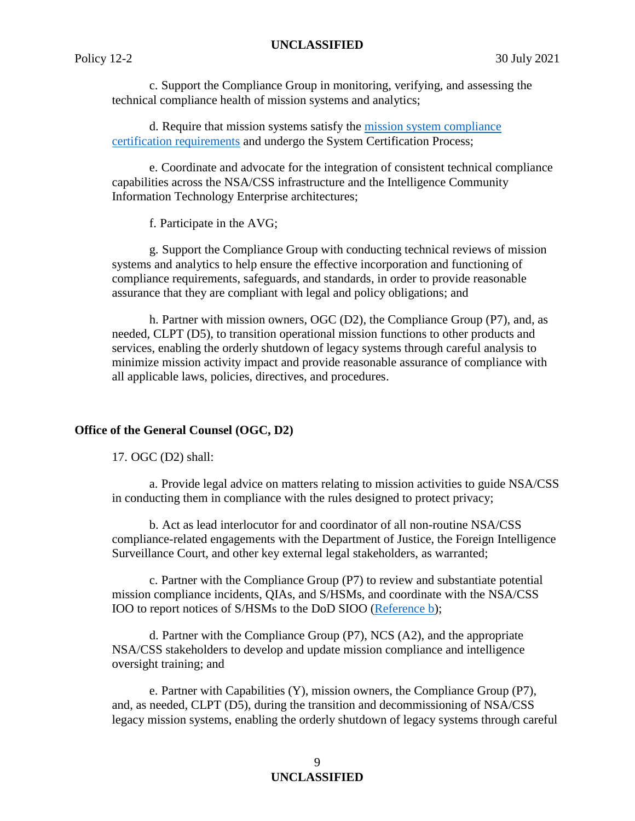c. Support the Compliance Group in monitoring, verifying, and assessing the technical compliance health of mission systems and analytics;

d. Require that mission systems satisfy the [mission system compliance](https://d4.sp.web.nsa.ic.gov/Pages/Current_Mission_System_Compliance_Certification_Requirements_Package.aspx)  [certification requirements](https://d4.sp.web.nsa.ic.gov/Pages/Current_Mission_System_Compliance_Certification_Requirements_Package.aspx) and undergo the System Certification Process;

e. Coordinate and advocate for the integration of consistent technical compliance capabilities across the NSA/CSS infrastructure and the Intelligence Community Information Technology Enterprise architectures;

f. Participate in the AVG;

g. Support the Compliance Group with conducting technical reviews of mission systems and analytics to help ensure the effective incorporation and functioning of compliance requirements, safeguards, and standards, in order to provide reasonable assurance that they are compliant with legal and policy obligations; and

h. Partner with mission owners, OGC (D2), the Compliance Group (P7), and, as needed, CLPT (D5), to transition operational mission functions to other products and services, enabling the orderly shutdown of legacy systems through careful analysis to minimize mission activity impact and provide reasonable assurance of compliance with all applicable laws, policies, directives, and procedures.

## **Office of the General Counsel (OGC, D2)**

17. OGC (D2) shall:

a. Provide legal advice on matters relating to mission activities to guide NSA/CSS in conducting them in compliance with the rules designed to protect privacy;

b. Act as lead interlocutor for and coordinator of all non-routine NSA/CSS compliance-related engagements with the Department of Justice, the Foreign Intelligence Surveillance Court, and other key external legal stakeholders, as warranted;

c. Partner with the Compliance Group (P7) to review and substantiate potential mission compliance incidents, QIAs, and S/HSMs, and coordinate with the NSA/CSS IOO to report notices of S/HSMs to the DoD SIOO [\(Reference b\)](#page-12-2);

d. Partner with the Compliance Group (P7), NCS (A2), and the appropriate NSA/CSS stakeholders to develop and update mission compliance and intelligence oversight training; and

e. Partner with Capabilities (Y), mission owners, the Compliance Group (P7), and, as needed, CLPT (D5), during the transition and decommissioning of NSA/CSS legacy mission systems, enabling the orderly shutdown of legacy systems through careful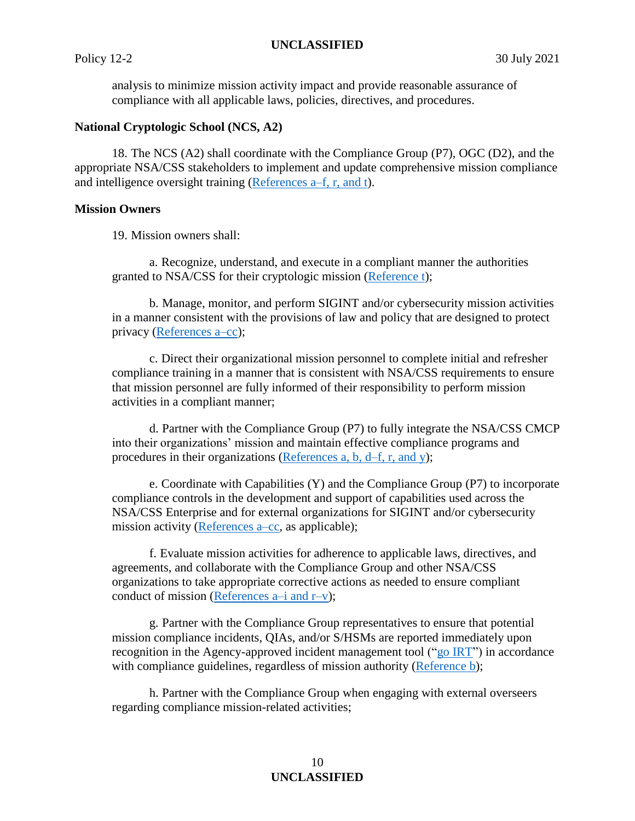analysis to minimize mission activity impact and provide reasonable assurance of compliance with all applicable laws, policies, directives, and procedures.

### **National Cryptologic School (NCS, A2)**

18. The NCS (A2) shall coordinate with the Compliance Group (P7), OGC (D2), and the appropriate NSA/CSS stakeholders to implement and update comprehensive mission compliance and intelligence oversight training [\(References a–f, r,](#page-12-0) and t).

#### **Mission Owners**

19. Mission owners shall:

a. Recognize, understand, and execute in a compliant manner the authorities granted to NSA/CSS for their cryptologic mission [\(Reference t\)](#page-12-7);

b. Manage, monitor, and perform SIGINT and/or cybersecurity mission activities in a manner consistent with the provisions of law and policy that are designed to protect privacy [\(References a–cc\)](#page-12-0);

c. Direct their organizational mission personnel to complete initial and refresher compliance training in a manner that is consistent with NSA/CSS requirements to ensure that mission personnel are fully informed of their responsibility to perform mission activities in a compliant manner;

d. Partner with the Compliance Group (P7) to fully integrate the NSA/CSS CMCP into their organizations' mission and maintain effective compliance programs and procedures in their organizations [\(References a, b, d–f, r,](#page-12-0) and y);

e. Coordinate with Capabilities (Y) and the Compliance Group (P7) to incorporate compliance controls in the development and support of capabilities used across the NSA/CSS Enterprise and for external organizations for SIGINT and/or cybersecurity mission activity [\(References a–cc,](#page-12-0) as applicable);

f. Evaluate mission activities for adherence to applicable laws, directives, and agreements, and collaborate with the Compliance Group and other NSA/CSS organizations to take appropriate corrective actions as needed to ensure compliant conduct of mission (References  $a-i$  and  $r-v$ );

g. Partner with the Compliance Group representatives to ensure that potential mission compliance incidents, QIAs, and/or S/HSMs are reported immediately upon recognition in the Agency-approved incident management tool ("go  $\overline{RT}$ ") in accordance with compliance guidelines, regardless of mission authority [\(Reference b\)](#page-12-2);

h. Partner with the Compliance Group when engaging with external overseers regarding compliance mission-related activities;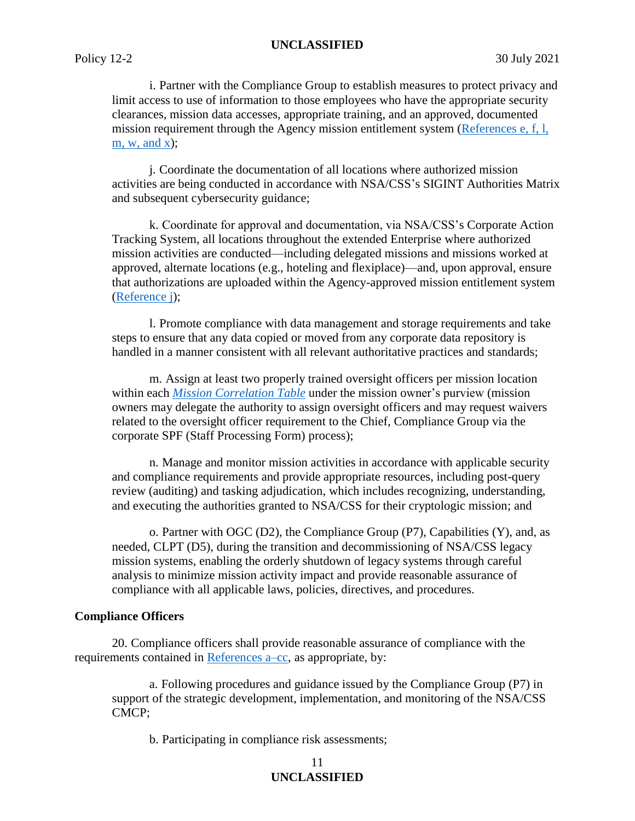i. Partner with the Compliance Group to establish measures to protect privacy and limit access to use of information to those employees who have the appropriate security clearances, mission data accesses, appropriate training, and an approved, documented mission requirement through the Agency mission entitlement system [\(References e, f, l,](#page-12-3)  m, w, and  $x$ );

j. Coordinate the documentation of all locations where authorized mission activities are being conducted in accordance with NSA/CSS's SIGINT Authorities Matrix and subsequent cybersecurity guidance;

k. Coordinate for approval and documentation, via NSA/CSS's Corporate Action Tracking System, all locations throughout the extended Enterprise where authorized mission activities are conducted—including delegated missions and missions worked at approved, alternate locations (e.g., hoteling and flexiplace)—and, upon approval, ensure that authorizations are uploaded within the Agency-approved mission entitlement system [\(Reference j\)](#page-12-8);

l. Promote compliance with data management and storage requirements and take steps to ensure that any data copied or moved from any corporate data repository is handled in a manner consistent with all relevant authoritative practices and standards;

m. Assign at least two properly trained oversight officers per mission location within each *[Mission Correlation Table](#page-14-5)* under the mission owner's purview (mission owners may delegate the authority to assign oversight officers and may request waivers related to the oversight officer requirement to the Chief, Compliance Group via the corporate SPF (Staff Processing Form) process);

n. Manage and monitor mission activities in accordance with applicable security and compliance requirements and provide appropriate resources, including post-query review (auditing) and tasking adjudication, which includes recognizing, understanding, and executing the authorities granted to NSA/CSS for their cryptologic mission; and

o. Partner with OGC (D2), the Compliance Group (P7), Capabilities (Y), and, as needed, CLPT (D5), during the transition and decommissioning of NSA/CSS legacy mission systems, enabling the orderly shutdown of legacy systems through careful analysis to minimize mission activity impact and provide reasonable assurance of compliance with all applicable laws, policies, directives, and procedures.

### **Compliance Officers**

20. Compliance officers shall provide reasonable assurance of compliance with the requirements contained in [References a–cc,](#page-12-0) as appropriate, by:

a. Following procedures and guidance issued by the Compliance Group (P7) in support of the strategic development, implementation, and monitoring of the NSA/CSS CMCP;

b. Participating in compliance risk assessments;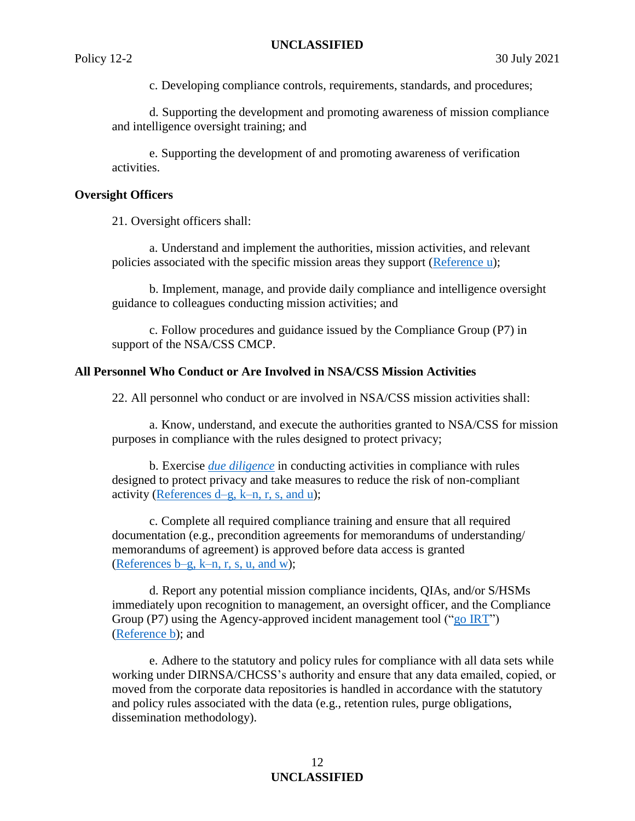c. Developing compliance controls, requirements, standards, and procedures;

d. Supporting the development and promoting awareness of mission compliance and intelligence oversight training; and

e. Supporting the development of and promoting awareness of verification activities.

### **Oversight Officers**

21. Oversight officers shall:

a. Understand and implement the authorities, mission activities, and relevant policies associated with the specific mission areas they support [\(Reference u\)](#page-12-7);

b. Implement, manage, and provide daily compliance and intelligence oversight guidance to colleagues conducting mission activities; and

c. Follow procedures and guidance issued by the Compliance Group (P7) in support of the NSA/CSS CMCP.

## **All Personnel Who Conduct or Are Involved in NSA/CSS Mission Activities**

22. All personnel who conduct or are involved in NSA/CSS mission activities shall:

a. Know, understand, and execute the authorities granted to NSA/CSS for mission purposes in compliance with the rules designed to protect privacy;

b. Exercise *[due diligence](#page-14-6)* in conducting activities in compliance with rules designed to protect privacy and take measures to reduce the risk of non-compliant activity (References  $d-g$ , k–n, r, s, and u);

c. Complete all required compliance training and ensure that all required documentation (e.g., precondition agreements for memorandums of understanding/ memorandums of agreement) is approved before data access is granted [\(References b–g, k–n, r, s, u, and w\)](#page-12-2);

d. Report any potential mission compliance incidents, QIAs, and/or S/HSMs immediately upon recognition to management, an oversight officer, and the Compliance Group (P7) using the Agency-approved incident management tool (["go IRT"](https://urn.nsa.ic.gov/IRT)) [\(Reference b\)](#page-12-2); and

e. Adhere to the statutory and policy rules for compliance with all data sets while working under DIRNSA/CHCSS's authority and ensure that any data emailed, copied, or moved from the corporate data repositories is handled in accordance with the statutory and policy rules associated with the data (e.g., retention rules, purge obligations, dissemination methodology).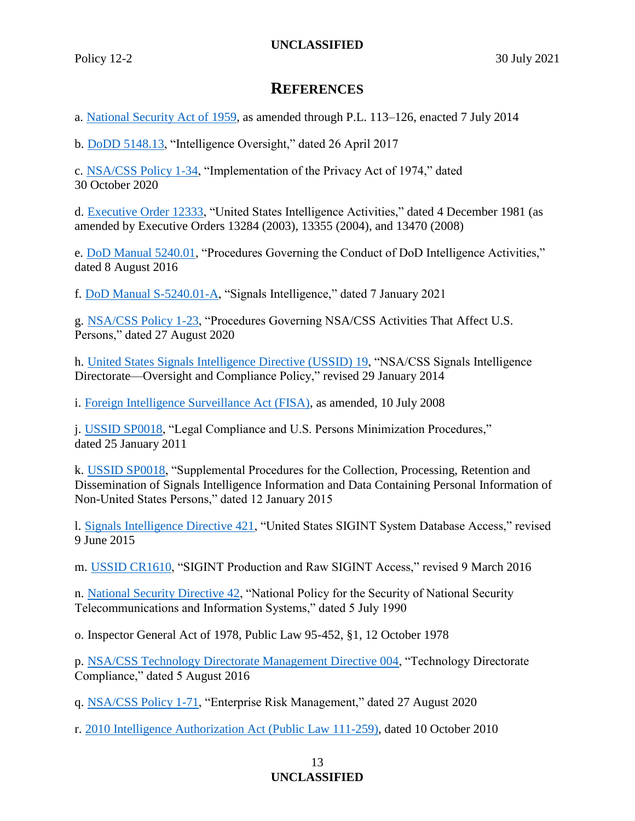## **REFERENCES**

<span id="page-12-0"></span>a. [National Security Act of 1959,](https://siteworks.web.nsa.ic.gov/p12/files/pdf/NSA_Act_of_1959.pdf) as amended through P.L. 113–126, enacted 7 July 2014

<span id="page-12-2"></span>b. [DoDD 5148.13,](https://policy.sp.web.nsa.ic.gov/PolicyDepot/DoDD%205148.13%2020170426.pdf#search=5148%2E13) "Intelligence Oversight," dated 26 April 2017

<span id="page-12-1"></span>c. [NSA/CSS Policy 1-34,](https://urn.nsa.ic.gov/policy1-34) "Implementation of the Privacy Act of 1974," dated 30 October 2020

<span id="page-12-4"></span>d. [Executive Order 12333,](https://policy.sp.web.nsa.ic.gov/PolicyDepot/EO%2012333%2020080730.pdf) "United States Intelligence Activities," dated 4 December 1981 (as amended by Executive Orders 13284 (2003), 13355 (2004), and 13470 (2008)

<span id="page-12-3"></span>e. [DoD Manual 5240.01,](https://policy.sp.web.nsa.ic.gov/PolicyDepot/DoDM%205240.01%2020160808.pdf) "Procedures Governing the Conduct of DoD Intelligence Activities," dated 8 August 2016

f. [DoD Manual S-5240.01-A,](https://policy.sp.web.nsa.ic.gov/PolicyDepot/DoDM%20S-5240.01-A%2020210107.pdf) "Signals Intelligence," dated 7 January 2021

<span id="page-12-7"></span>g. [NSA/CSS Policy 1-23,](https://urn.nsa.ic.gov/policy1-23) "Procedures Governing NSA/CSS Activities That Affect U.S. Persons," dated 27 August 2020

<span id="page-12-6"></span>h. [United States Signals Intelligence Directive \(USSID\)](https://siteworks.web.nsa.ic.gov/p12/files/p12s/USSID19.pdf) 19, "NSA/CSS Signals Intelligence Directorate—Oversight and Compliance Policy," revised 29 January 2014

<span id="page-12-9"></span>i. [Foreign Intelligence Surveillance Act \(FISA\),](https://policy.sp.web.nsa.ic.gov/PolicyDepot/PL%20110-261%2020080710.pdf) as amended, 10 July 2008

<span id="page-12-8"></span>j. [USSID SP0018,](https://siteworks.web.nsa.ic.gov/p12/files/p12s/USSID18.pdf) "Legal Compliance and U.S. Persons Minimization Procedures," dated 25 January 2011

k. [USSID SP0018,](https://siteworks.web.nsa.ic.gov/p12/files/p12s/USSID18_Annex.pdf) "Supplemental Procedures for the Collection, Processing, Retention and Dissemination of Signals Intelligence Information and Data Containing Personal Information of Non-United States Persons," dated 12 January 2015

l. [Signals Intelligence Directive 421,](https://policy.sp.web.nsa.ic.gov/PolicyDepot/SMD%20421%2020150609.pdf) "United States SIGINT System Database Access," revised 9 June 2015

m. [USSID CR1610,](https://siteworks.web.nsa.ic.gov/p12/files/p12s/USSID6.pdf) "SIGINT Production and Raw SIGINT Access," revised 9 March 2016

n. [National Security Directive 42,](https://policy.sp.web.nsa.ic.gov/PolicyDepot/NSD%2042%2019900705.pdf) "National Policy for the Security of National Security Telecommunications and Information Systems," dated 5 July 1990

o. Inspector General Act of 1978, Public Law 95-452, §1, 12 October 1978

<span id="page-12-5"></span>p. [NSA/CSS Technology Directorate Management Directive 004,](https://policy.sp.web.nsa.ic.gov/PolicyDepot/TD%20MD%20004%2020160805.pdf) "Technology Directorate Compliance," dated 5 August 2016

q. [NSA/CSS Policy 1-71,](https://urn.nsa.ic.gov/policy1-71) "Enterprise Risk Management," dated 27 August 2020

r. [2010 Intelligence Authorization Act \(Public Law 111-259\),](https://policy.sp.web.nsa.ic.gov/PolicyDepot/PL%20111-259%2020101007.pdf) dated 10 October 2010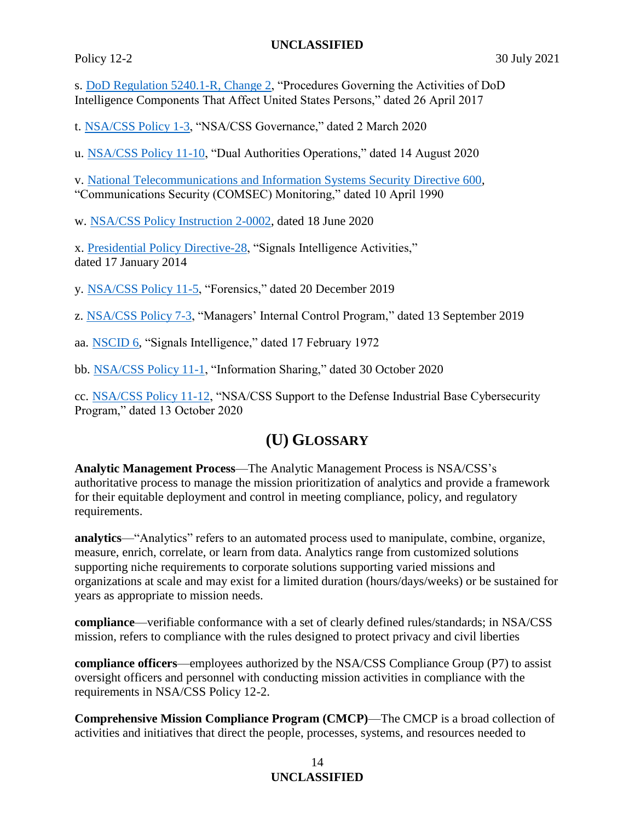s. [DoD Regulation 5240.1-R, Change 2,](https://policy.sp.web.nsa.ic.gov/PolicyDepot/DoD%205240.1-R%2020170426.pdf#search=5240%2E1%2Dr) "Procedures Governing the Activities of DoD Intelligence Components That Affect United States Persons," dated 26 April 2017

t. [NSA/CSS Policy 1-3,](https://urn.nsa.ic.gov/policy1-3) "NSA/CSS Governance," dated 2 March 2020

u. [NSA/CSS Policy 11-10,](https://urn.nsa.ic.gov/policy11-10) "Dual Authorities Operations," dated 14 August 2020

v. [National Telecommunications and Information Systems Security Directive 600,](https://policy.sp.web.nsa.ic.gov/PolicyDepot/NSTISSD%20600%2019900410.pdf) "Communications Security (COMSEC) Monitoring," dated 10 April 1990

w. [NSA/CSS Policy Instruction 2-0002,](https://urn.nsa.ic.gov/pi2-0002) dated 18 June 2020

<span id="page-13-3"></span>x. [Presidential Policy Directive-28,](https://policy.sp.web.nsa.ic.gov/PolicyDepot/PPD%2028%2020140117.pdf) "Signals Intelligence Activities," dated 17 January 2014

<span id="page-13-4"></span>y. [NSA/CSS Policy 11-5,](https://urn.nsa.ic.gov/policy11-5) "Forensics," dated 20 December 2019

z. [NSA/CSS Policy 7-3,](https://urn.nsa.ic.gov/policy7-3) "Managers' Internal Control Program," dated 13 September 2019

aa. [NSCID 6,](https://policy.sp.web.nsa.ic.gov/PolicyDepot/NSCID%206%2019720217.pdf) "Signals Intelligence," dated 17 February 1972

bb. [NSA/CSS Policy 11-1,](https://urn.nsa.ic.gov/policy11-1) "Information Sharing," dated 30 October 2020

cc. [NSA/CSS Policy 11-12,](https://urn.nsa.ic.gov/policy11-12) "NSA/CSS Support to the Defense Industrial Base Cybersecurity Program," dated 13 October 2020

# **(U) GLOSSARY**

<span id="page-13-2"></span>**Analytic Management Process**—The Analytic Management Process is NSA/CSS's authoritative process to manage the mission prioritization of analytics and provide a framework for their equitable deployment and control in meeting compliance, policy, and regulatory requirements.

<span id="page-13-1"></span>**analytics**—"Analytics" refers to an automated process used to manipulate, combine, organize, measure, enrich, correlate, or learn from data. Analytics range from customized solutions supporting niche requirements to corporate solutions supporting varied missions and organizations at scale and may exist for a limited duration (hours/days/weeks) or be sustained for years as appropriate to mission needs.

**compliance**—verifiable conformance with a set of clearly defined rules/standards; in NSA/CSS mission, refers to compliance with the rules designed to protect privacy and civil liberties

<span id="page-13-5"></span>**compliance officers**—employees authorized by the NSA/CSS Compliance Group (P7) to assist oversight officers and personnel with conducting mission activities in compliance with the requirements in NSA/CSS Policy 12-2.

<span id="page-13-0"></span>**Comprehensive Mission Compliance Program (CMCP)**—The CMCP is a broad collection of activities and initiatives that direct the people, processes, systems, and resources needed to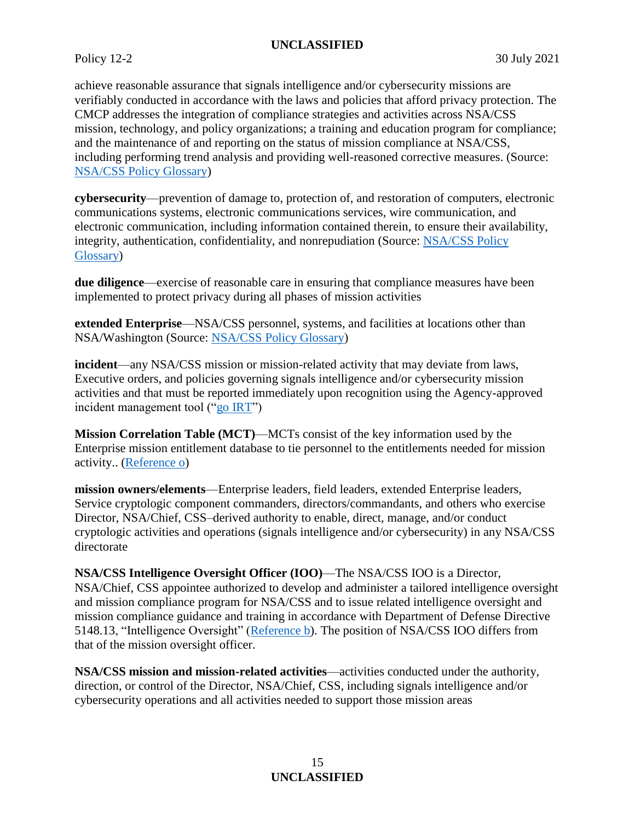achieve reasonable assurance that signals intelligence and/or cybersecurity missions are verifiably conducted in accordance with the laws and policies that afford privacy protection. The CMCP addresses the integration of compliance strategies and activities across NSA/CSS mission, technology, and policy organizations; a training and education program for compliance; and the maintenance of and reporting on the status of mission compliance at NSA/CSS, including performing trend analysis and providing well-reasoned corrective measures. (Source: [NSA/CSS Policy Glossary\)](https://siteworks.web.nsa.ic.gov/p12/all/#ComprehensiveMissionComplianceProgram)

<span id="page-14-1"></span>**cybersecurity**—prevention of damage to, protection of, and restoration of computers, electronic communications systems, electronic communications services, wire communication, and electronic communication, including information contained therein, to ensure their availability, integrity, authentication, confidentiality, and nonrepudiation (Source: [NSA/CSS Policy](https://siteworks.web.nsa.ic.gov/p12/all/#Cybersecurity6-3)  [Glossary\)](https://siteworks.web.nsa.ic.gov/p12/all/#Cybersecurity6-3)

<span id="page-14-6"></span>**due diligence**—exercise of reasonable care in ensuring that compliance measures have been implemented to protect privacy during all phases of mission activities

<span id="page-14-4"></span>**extended Enterprise**—NSA/CSS personnel, systems, and facilities at locations other than NSA/Washington (Source: [NSA/CSS Policy Glossary\)](https://siteworks.web.nsa.ic.gov/p12/e/#ExtendedEnterprise-1-68)

<span id="page-14-5"></span>**incident**—any NSA/CSS mission or mission-related activity that may deviate from laws, Executive orders, and policies governing signals intelligence and/or cybersecurity mission activities and that must be reported immediately upon recognition using the Agency-approved incident management tool (["go IRT"](https://urn.nsa.ic.gov/irt))

**Mission Correlation Table (MCT)**—MCTs consist of the key information used by the Enterprise mission entitlement database to tie personnel to the entitlements needed for mission activity.. [\(Reference](#page-12-9) o)

<span id="page-14-3"></span>**mission owners/elements**—Enterprise leaders, field leaders, extended Enterprise leaders, Service cryptologic component commanders, directors/commandants, and others who exercise Director, NSA/Chief, CSS–derived authority to enable, direct, manage, and/or conduct cryptologic activities and operations (signals intelligence and/or cybersecurity) in any NSA/CSS directorate

<span id="page-14-2"></span>**NSA/CSS Intelligence Oversight Officer (IOO)**—The NSA/CSS IOO is a Director, NSA/Chief, CSS appointee authorized to develop and administer a tailored intelligence oversight and mission compliance program for NSA/CSS and to issue related intelligence oversight and mission compliance guidance and training in accordance with Department of Defense Directive 5148.13, "Intelligence Oversight" [\(Reference b\)](#page-12-2). The position of NSA/CSS IOO differs from that of the mission oversight officer.

<span id="page-14-0"></span>**NSA/CSS mission and mission-related activities**—activities conducted under the authority, direction, or control of the Director, NSA/Chief, CSS, including signals intelligence and/or cybersecurity operations and all activities needed to support those mission areas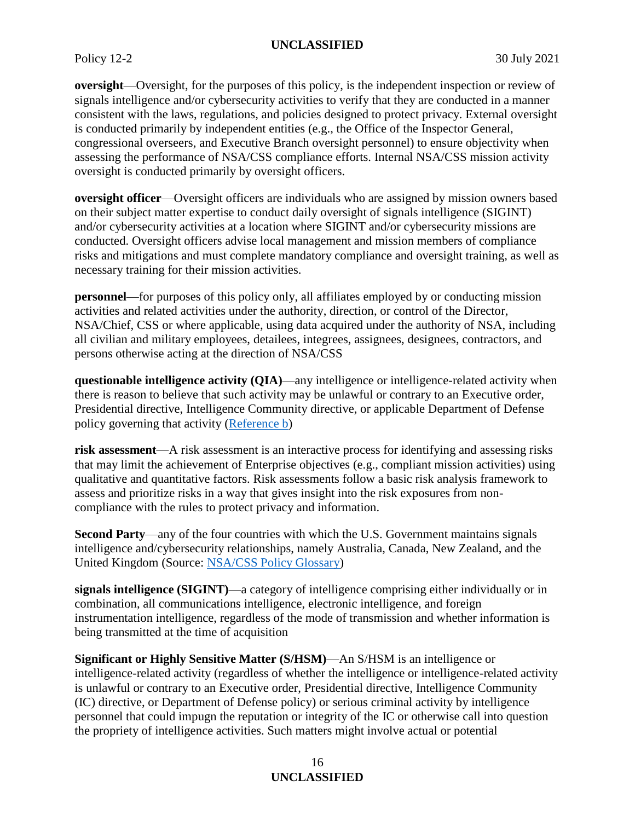<span id="page-15-0"></span>**oversight**—Oversight, for the purposes of this policy, is the independent inspection or review of signals intelligence and/or cybersecurity activities to verify that they are conducted in a manner consistent with the laws, regulations, and policies designed to protect privacy. External oversight is conducted primarily by independent entities (e.g., the Office of the Inspector General, congressional overseers, and Executive Branch oversight personnel) to ensure objectivity when assessing the performance of NSA/CSS compliance efforts. Internal NSA/CSS mission activity oversight is conducted primarily by oversight officers.

<span id="page-15-6"></span>**oversight officer**—Oversight officers are individuals who are assigned by mission owners based on their subject matter expertise to conduct daily oversight of signals intelligence (SIGINT) and/or cybersecurity activities at a location where SIGINT and/or cybersecurity missions are conducted. Oversight officers advise local management and mission members of compliance risks and mitigations and must complete mandatory compliance and oversight training, as well as necessary training for their mission activities.

<span id="page-15-1"></span>**personnel**—for purposes of this policy only, all affiliates employed by or conducting mission activities and related activities under the authority, direction, or control of the Director, NSA/Chief, CSS or where applicable, using data acquired under the authority of NSA, including all civilian and military employees, detailees, integrees, assignees, designees, contractors, and persons otherwise acting at the direction of NSA/CSS

<span id="page-15-3"></span>**questionable intelligence activity (QIA)**—any intelligence or intelligence-related activity when there is reason to believe that such activity may be unlawful or contrary to an Executive order, Presidential directive, Intelligence Community directive, or applicable Department of Defense policy governing that activity [\(Reference b\)](#page-12-2)

<span id="page-15-5"></span>**risk assessment**—A risk assessment is an interactive process for identifying and assessing risks that may limit the achievement of Enterprise objectives (e.g., compliant mission activities) using qualitative and quantitative factors. Risk assessments follow a basic risk analysis framework to assess and prioritize risks in a way that gives insight into the risk exposures from noncompliance with the rules to protect privacy and information.

<span id="page-15-7"></span>**Second Party**—any of the four countries with which the U.S. Government maintains signals intelligence and/cybersecurity relationships, namely Australia, Canada, New Zealand, and the United Kingdom (Source: NSA/CSS [Policy Glossary\)](https://siteworks.web.nsa.ic.gov/p12/s/#SecondParty)

<span id="page-15-2"></span>**signals intelligence (SIGINT)**—a category of intelligence comprising either individually or in combination, all communications intelligence, electronic intelligence, and foreign instrumentation intelligence, regardless of the mode of transmission and whether information is being transmitted at the time of acquisition

<span id="page-15-4"></span>**Significant or Highly Sensitive Matter (S/HSM)**—An S/HSM is an intelligence or intelligence-related activity (regardless of whether the intelligence or intelligence-related activity is unlawful or contrary to an Executive order, Presidential directive, Intelligence Community (IC) directive, or Department of Defense policy) or serious criminal activity by intelligence personnel that could impugn the reputation or integrity of the IC or otherwise call into question the propriety of intelligence activities. Such matters might involve actual or potential